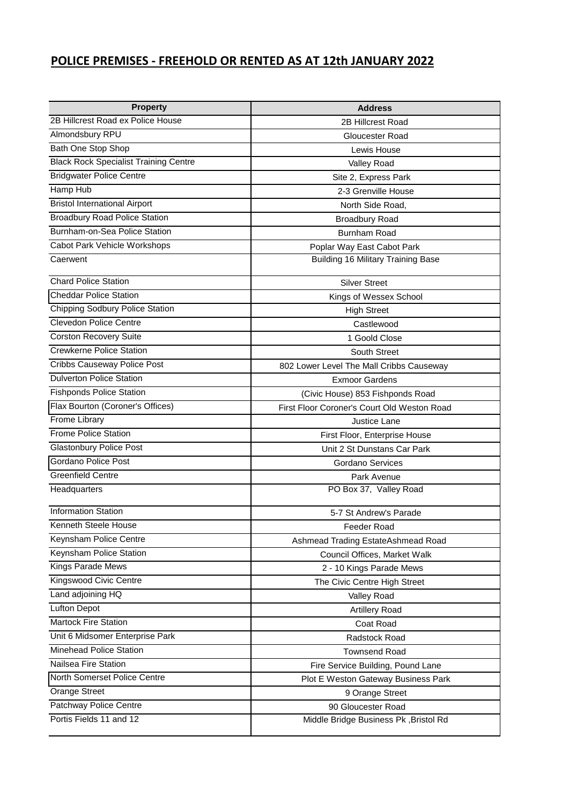## **POLICE PREMISES - FREEHOLD OR RENTED AS AT 12th JANUARY 2022**

| <b>Property</b>                              | <b>Address</b>                              |  |  |
|----------------------------------------------|---------------------------------------------|--|--|
| 2B Hillcrest Road ex Police House            | 2B Hillcrest Road                           |  |  |
| Almondsbury RPU                              | <b>Gloucester Road</b>                      |  |  |
| Bath One Stop Shop                           | Lewis House                                 |  |  |
| <b>Black Rock Specialist Training Centre</b> | Valley Road                                 |  |  |
| <b>Bridgwater Police Centre</b>              | Site 2, Express Park                        |  |  |
| Hamp Hub                                     | 2-3 Grenville House                         |  |  |
| <b>Bristol International Airport</b>         | North Side Road,                            |  |  |
| <b>Broadbury Road Police Station</b>         | <b>Broadbury Road</b>                       |  |  |
| Burnham-on-Sea Police Station                | <b>Burnham Road</b>                         |  |  |
| Cabot Park Vehicle Workshops                 | Poplar Way East Cabot Park                  |  |  |
| Caerwent                                     | <b>Building 16 Military Training Base</b>   |  |  |
| <b>Chard Police Station</b>                  | <b>Silver Street</b>                        |  |  |
| <b>Cheddar Police Station</b>                | Kings of Wessex School                      |  |  |
| <b>Chipping Sodbury Police Station</b>       | <b>High Street</b>                          |  |  |
| <b>Clevedon Police Centre</b>                | Castlewood                                  |  |  |
| <b>Corston Recovery Suite</b>                | 1 Goold Close                               |  |  |
| <b>Crewkerne Police Station</b>              | South Street                                |  |  |
| Cribbs Causeway Police Post                  | 802 Lower Level The Mall Cribbs Causeway    |  |  |
| <b>Dulverton Police Station</b>              | <b>Exmoor Gardens</b>                       |  |  |
| <b>Fishponds Police Station</b>              | (Civic House) 853 Fishponds Road            |  |  |
| Flax Bourton (Coroner's Offices)             | First Floor Coroner's Court Old Weston Road |  |  |
| Frome Library                                | Justice Lane                                |  |  |
| <b>Frome Police Station</b>                  | First Floor, Enterprise House               |  |  |
| <b>Glastonbury Police Post</b>               | Unit 2 St Dunstans Car Park                 |  |  |
| Gordano Police Post                          | Gordano Services                            |  |  |
| Greenfield Centre                            | Park Avenue                                 |  |  |
| Headquarters                                 | PO Box 37, Valley Road                      |  |  |
| <b>Information Station</b>                   | 5-7 St Andrew's Parade                      |  |  |
| Kenneth Steele House                         | Feeder Road                                 |  |  |
| Keynsham Police Centre                       | Ashmead Trading EstateAshmead Road          |  |  |
| Keynsham Police Station                      | Council Offices, Market Walk                |  |  |
| Kings Parade Mews                            | 2 - 10 Kings Parade Mews                    |  |  |
| Kingswood Civic Centre                       | The Civic Centre High Street                |  |  |
| Land adjoining HQ                            | Valley Road                                 |  |  |
| <b>Lufton Depot</b>                          | <b>Artillery Road</b>                       |  |  |
| <b>Martock Fire Station</b>                  | Coat Road                                   |  |  |
| Unit 6 Midsomer Enterprise Park              | Radstock Road                               |  |  |
| Minehead Police Station                      | <b>Townsend Road</b>                        |  |  |
| Nailsea Fire Station                         | Fire Service Building, Pound Lane           |  |  |
| North Somerset Police Centre                 | Plot E Weston Gateway Business Park         |  |  |
| <b>Orange Street</b>                         | 9 Orange Street                             |  |  |
| Patchway Police Centre                       | 90 Gloucester Road                          |  |  |
| Portis Fields 11 and 12                      | Middle Bridge Business Pk, Bristol Rd       |  |  |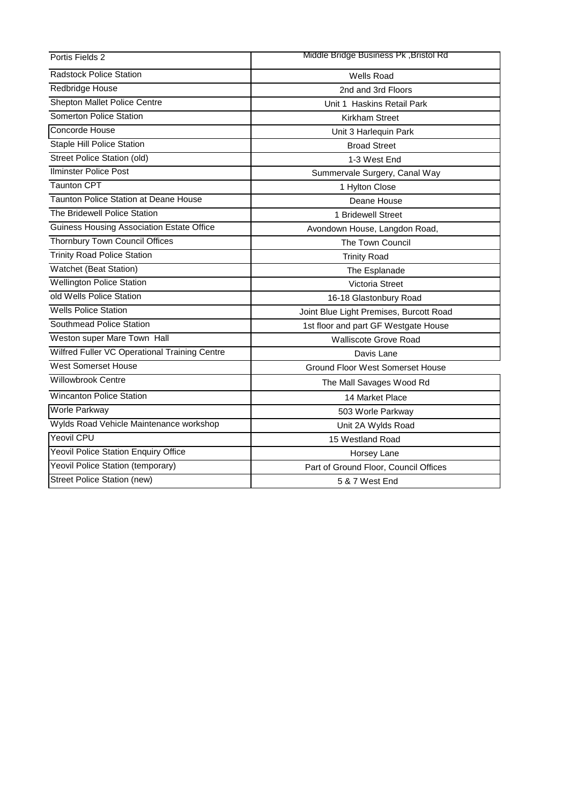| Portis Fields 2                                  | Middle Bridge Business Pk, Bristol Rd   |  |  |
|--------------------------------------------------|-----------------------------------------|--|--|
| <b>Radstock Police Station</b>                   | <b>Wells Road</b>                       |  |  |
| Redbridge House                                  | 2nd and 3rd Floors                      |  |  |
| Shepton Mallet Police Centre                     | Unit 1 Haskins Retail Park              |  |  |
| Somerton Police Station                          | <b>Kirkham Street</b>                   |  |  |
| Concorde House                                   | Unit 3 Harlequin Park                   |  |  |
| <b>Staple Hill Police Station</b>                | <b>Broad Street</b>                     |  |  |
| <b>Street Police Station (old)</b>               | 1-3 West End                            |  |  |
| Ilminster Police Post                            | Summervale Surgery, Canal Way           |  |  |
| <b>Taunton CPT</b>                               | 1 Hylton Close                          |  |  |
| Taunton Police Station at Deane House            | Deane House                             |  |  |
| The Bridewell Police Station                     | 1 Bridewell Street                      |  |  |
| <b>Guiness Housing Association Estate Office</b> | Avondown House, Langdon Road,           |  |  |
| <b>Thornbury Town Council Offices</b>            | The Town Council                        |  |  |
| <b>Trinity Road Police Station</b>               | <b>Trinity Road</b>                     |  |  |
| Watchet (Beat Station)                           | The Esplanade                           |  |  |
| <b>Wellington Police Station</b>                 | Victoria Street                         |  |  |
| old Wells Police Station                         | 16-18 Glastonbury Road                  |  |  |
| <b>Wells Police Station</b>                      | Joint Blue Light Premises, Burcott Road |  |  |
| Southmead Police Station                         | 1st floor and part GF Westgate House    |  |  |
| Weston super Mare Town Hall                      | <b>Walliscote Grove Road</b>            |  |  |
| Wilfred Fuller VC Operational Training Centre    | Davis Lane                              |  |  |
| <b>West Somerset House</b>                       | <b>Ground Floor West Somerset House</b> |  |  |
| <b>Willowbrook Centre</b>                        | The Mall Savages Wood Rd                |  |  |
| <b>Wincanton Police Station</b>                  | 14 Market Place                         |  |  |
| Worle Parkway                                    | 503 Worle Parkway                       |  |  |
| Wylds Road Vehicle Maintenance workshop          | Unit 2A Wylds Road                      |  |  |
| Yeovil CPU                                       | 15 Westland Road                        |  |  |
| <b>Yeovil Police Station Enquiry Office</b>      | Horsey Lane                             |  |  |
| Yeovil Police Station (temporary)                | Part of Ground Floor, Council Offices   |  |  |
| Street Police Station (new)                      | 5 & 7 West End                          |  |  |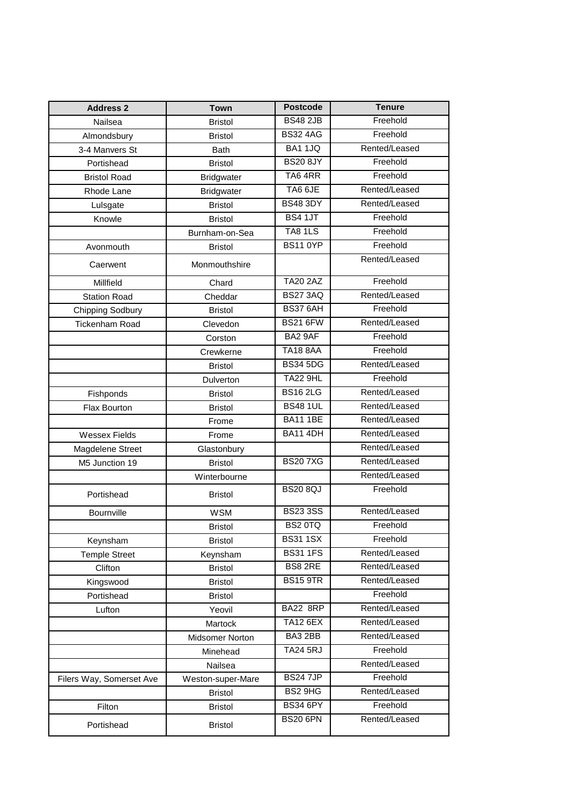| <b>Address 2</b>         | <b>Town</b>       | <b>Postcode</b> | <b>Tenure</b> |
|--------------------------|-------------------|-----------------|---------------|
| Nailsea                  | <b>Bristol</b>    | <b>BS48 2JB</b> | Freehold      |
| Almondsbury              | <b>Bristol</b>    | <b>BS32 4AG</b> | Freehold      |
| 3-4 Manvers St           | <b>Bath</b>       | <b>BA1 1JQ</b>  | Rented/Leased |
| Portishead               | <b>Bristol</b>    | <b>BS20 8JY</b> | Freehold      |
| <b>Bristol Road</b>      | <b>Bridgwater</b> | TA64RR          | Freehold      |
| Rhode Lane               | <b>Bridgwater</b> | TA6 6JE         | Rented/Leased |
| Lulsgate                 | <b>Bristol</b>    | <b>BS48 3DY</b> | Rented/Leased |
| Knowle                   | <b>Bristol</b>    | BS4 1JT         | Freehold      |
|                          | Burnham-on-Sea    | <b>TA8 1LS</b>  | Freehold      |
| Avonmouth                | <b>Bristol</b>    | <b>BS11 0YP</b> | Freehold      |
| Caerwent                 | Monmouthshire     |                 | Rented/Leased |
| Millfield                | Chard             | <b>TA20 2AZ</b> | Freehold      |
| <b>Station Road</b>      | Cheddar           | <b>BS27 3AQ</b> | Rented/Leased |
| <b>Chipping Sodbury</b>  | <b>Bristol</b>    | <b>BS37 6AH</b> | Freehold      |
| <b>Tickenham Road</b>    | Clevedon          | <b>BS21 6FW</b> | Rented/Leased |
|                          | Corston           | BA2 9AF         | Freehold      |
|                          | Crewkerne         | <b>TA18 8AA</b> | Freehold      |
|                          | <b>Bristol</b>    | <b>BS34 5DG</b> | Rented/Leased |
|                          | Dulverton         | <b>TA22 9HL</b> | Freehold      |
| Fishponds                | <b>Bristol</b>    | <b>BS162LG</b>  | Rented/Leased |
| Flax Bourton             | <b>Bristol</b>    | <b>BS48 1UL</b> | Rented/Leased |
|                          | Frome             | <b>BA11 1BE</b> | Rented/Leased |
| <b>Wessex Fields</b>     | Frome             | <b>BA11 4DH</b> | Rented/Leased |
| Magdelene Street         | Glastonbury       |                 | Rented/Leased |
| M5 Junction 19           | <b>Bristol</b>    | <b>BS207XG</b>  | Rented/Leased |
|                          | Winterbourne      |                 | Rented/Leased |
| Portishead               | <b>Bristol</b>    | <b>BS20 8QJ</b> | Freehold      |
| Bournville               | <b>WSM</b>        | <b>BS233SS</b>  | Rented/Leased |
|                          | <b>Bristol</b>    | BS2 0TQ         | Freehold      |
| Keynsham                 | <b>Bristol</b>    | <b>BS311SX</b>  | Freehold      |
| <b>Temple Street</b>     | Keynsham          | <b>BS31 1FS</b> | Rented/Leased |
| Clifton                  | <b>Bristol</b>    | BS8 2RE         | Rented/Leased |
| Kingswood                | <b>Bristol</b>    | <b>BS15 9TR</b> | Rented/Leased |
| Portishead               | <b>Bristol</b>    |                 | Freehold      |
| Lufton                   | Yeovil            | <b>BA22 8RP</b> | Rented/Leased |
|                          | Martock           | <b>TA12 6EX</b> | Rented/Leased |
|                          | Midsomer Norton   | BA3 2BB         | Rented/Leased |
|                          | Minehead          | <b>TA24 5RJ</b> | Freehold      |
|                          | Nailsea           |                 | Rented/Leased |
| Filers Way, Somerset Ave | Weston-super-Mare | <b>BS247JP</b>  | Freehold      |
|                          | <b>Bristol</b>    | BS2 9HG         | Rented/Leased |
| Filton                   | <b>Bristol</b>    | <b>BS34 6PY</b> | Freehold      |
| Portishead               | <b>Bristol</b>    | <b>BS20 6PN</b> | Rented/Leased |